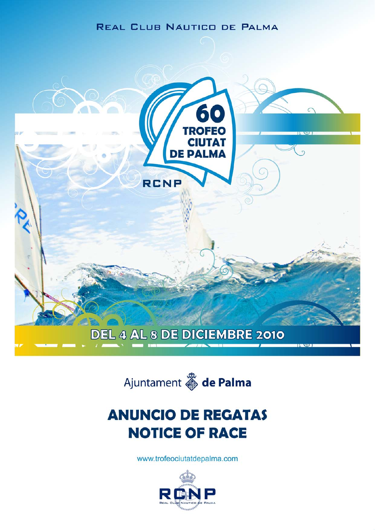# **REAL CLUB NAUTICO DE PALMA**





# **ANUNCIO DE REGATAS NOTICE OF RACE**

www.trofeociutatdepalma.com

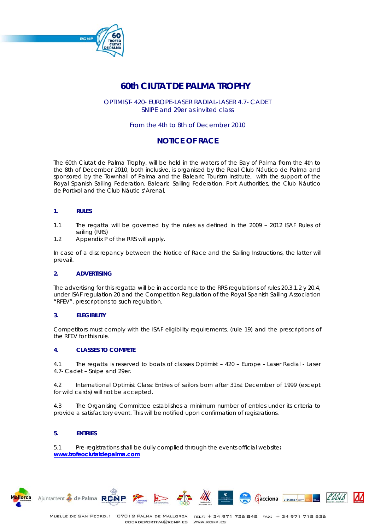

# **60th CIUTAT DE PALMA TROPHY**

OPTIMIST- 420- EUROPE-LASER RADIAL-LASER 4.7- CADET SNIPE and 29er as invited class

# From the 4th to 8th of December 2010

# **NOTICE OF RACE**

The 60th Ciutat de Palma Trophy, will be held in the waters of the Bay of Palma from the 4th to the 8th of December 2010, both inclusive, is organised by the Real Club Náutico de Palma and sponsored by the Townhall of Palma and the Balearic Tourism Institute, with the support of the Royal Spanish Sailing Federation, Balearic Sailing Federation, Port Authorities, the Club Náutico de Portixol and the Club Náutic s'Arenal,

# *1. RULES*

- 1.1 The regatta will be governed by the rules as defined in the 2009 2012 ISAF Rules of sailing (RRS)
- 1.2 Appendix P of the RRS will apply.

In case of a discrepancy between the Notice of Race and the Sailing Instructions, the latter will prevail.

# *2. ADVERTISING*

The advertising for this regatta will be in accordance to the RRS regulations of rules 20.3.1.2 y 20.4, under ISAF regulation 20 and the Competition Regulation of the Royal Spanish Sailing Association "RFEV", prescriptions to such regulation.

# *3. ELEGIBILITY*

Competitors must comply with the ISAF eligibility requirements, (rule 19) and the prescriptions of the RFEV for this rule.

# *4. CLASSES TO COMPETE*

4.1 The regatta is reserved to boats of classes Optimist – 420 – Europe - Laser Radial - Laser 4.7- Cadet – Snipe and 29er.

4.2 International Optimist Class: Entries of sailors born after 31rst December of 1999 (except for wild cards) will not be accepted.

4.3 The Organising Committee establishes a minimum number of entries under its criteria to provide a satisfactory event. This will be notified upon confirmation of registrations.

# *5. ENTRIES*

Ajuntament & de Palma RCNP

5.1 Pre-registrations shall be dully complied through the events official website**: www.trofeociutatdepalma.com**





**Aacciona** ultramar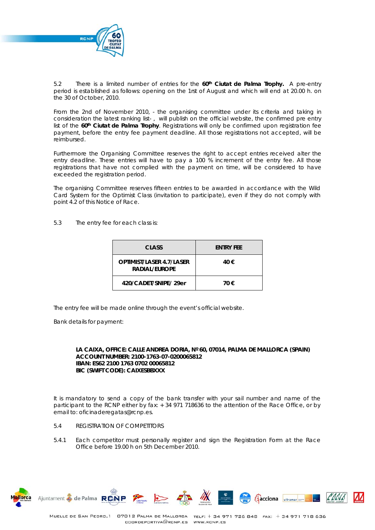

5.2 There is a limited number of entries for the *60th Ciutat de Palma Trophy.* A pre-entry period is established as follows: opening on the 1rst of August and which will end at 20.00 h. on the 30 of October, 2010.

From the 2nd of November 2010, - the organising committee under its criteria and taking in consideration the latest ranking list- , will publish on the official website, the confirmed pre entry list of the 60<sup>th</sup> Ciutat de Palma Trophy. Registrations will only be confirmed upon registration fee payment, before the entry fee payment deadline. All those registrations not accepted, will be reimbursed.

Furthermore the Organising Committee reserves the right to accept entries received alter the entry deadline. These entries will have to pay a 100 % increment of the entry fee. All those registrations that have not complied with the payment on time, will be considered to have exceeded the registration period.

The organising Committee reserves fifteen entries to be awarded in accordance with the Wild Card System for the Optimist Class (invitation to participate), even if they do not comply with point 4.2 of this Notice of Race.

5.3 The entry fee for each class is:

| CLASS                                            | <b>FNTRY FFF</b> |
|--------------------------------------------------|------------------|
| <b>OPTIMIST/LASER 4.7/LASER</b><br>RADIAL/EUROPE | 40 €             |
| 420/CADET/SNIPE/29er                             | 70 €             |

The entry fee will be made online through the event's official website.

Bank details for payment:

# **LA CAIXA, OFFICE: CALLE ANDREA DORIA, Nº 60, 07014, PALMA DE MALLORCA (SPAIN) ACCOUNT NUMBER: 2100-1763-07-0200065812 IBAN: ES62 2100 1763 0702 00065812 BIC (SWIFT CODE): CAIXESBBXXX**

It is mandatory to send a copy of the bank transfer with your sail number and name of the participant to the RCNP either by fax: + 34 971 718636 to the attention of the Race Office, or by email to: oficinaderegatas@rcnp.es.

- 5.4 REGISTRATION OF COMPETITORS
- 5.4.1 Each competitor must personally register and sign the Registration Form at the Race Office before 19.00 h on 5th December 2010.



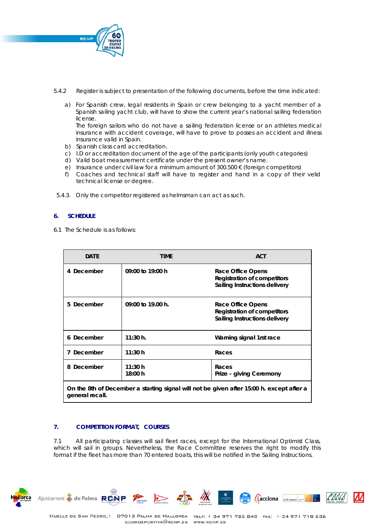

- 5.4.2 Register is subject to presentation of the following documents, before the time indicated:
	- a) For Spanish crew, legal residents in Spain or crew belonging to a yacht member of a Spanish sailing yacht club, will have to show the current year's national sailing federation license.

The foreign sailors who do not have a sailing federation license or an athletes medical insurance with accident coverage, will have to prove to posses an accident and illness insurance valid in Spain.

- b) Spanish class card accreditation.
- c) I.D or accreditation document of the age of the participants (only youth categories)
- d) Valid boat measurement certificate under the present owner's name.
- e) Insurance under civil law for a minimum amount of  $300.500 \in$  (foreign competitors)
- f) Coaches and technical staff will have to register and hand in a copy of their velid technical license or degree.
- 5.4.3. Only the competitor registered as helmsman can act as such.

# **6. SCHEDULE**

6.1 The Schedule is as follows:

| <b>DATE</b>                                                                                                 | TIME                | <b>ACT</b>                                                                               |
|-------------------------------------------------------------------------------------------------------------|---------------------|------------------------------------------------------------------------------------------|
| 4 December                                                                                                  | 09:00 to 19:00 h    | Race Office Opens<br><b>Registration of competitors</b><br>Sailing Instructions delivery |
| 5 December                                                                                                  | $09:00$ to 19.00 h. | Race Office Opens<br>Registration of competitors<br>Sailing Instructions delivery        |
| 6 December                                                                                                  | 11:30 h.            | Warning signal 1rst race                                                                 |
| 7 December                                                                                                  | 11:30 h             | Races                                                                                    |
| 8 December                                                                                                  | 11:30 h<br>18:00 h  | Races<br>Prize - giving Ceremony                                                         |
| On the 8th of December a starting signal will not be given after 15:00 h. except after a<br>general recall. |                     |                                                                                          |

# *7. COMPETITION FORMAT, COURSES*

7.1 All participating classes will sail fleet races, except for the International Optimist Class, which will sail in groups. Nevertheless, the Race Committee reserves the right to modify this format if the fleet has more than 70 entered boats, this will be notified in the Sailing Instructions.



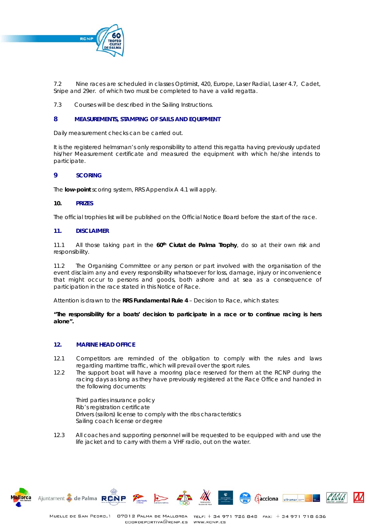

7.2 Nine races are scheduled in classes Optimist, 420, Europe, Laser Radial, Laser 4.7, Cadet, Snipe and 29er. of which two must be completed to have a valid regatta.

7.3 Courses will be described in the Sailing Instructions.

## **8** *MEASUREMENTS, STAMPING OF SAILS AND EQUIPMENT*

Daily measurement checks can be carried out.

It is the registered helmsman's only responsibility to attend this regatta having previously updated his/her Measurement certificate and measured the equipment with which he/she intends to participate.

#### **9** *SCORING*

The **low-point** scoring system, RRS Appendix A 4.1 will apply.

#### *10. PRIZES*

The official trophies list will be published on the Official Notice Board before the start of the race.

#### *11. DISCLAIMER*

11.1 All those taking part in the  $60<sup>th</sup>$  Ciutat de Palma Trophy, do so at their own risk and responsibility.

11.2 The Organising Committee or any person or part involved with the organisation of the event disclaim any and every responsibility whatsoever for loss, damage, injury or inconvenience that might occur to persons and goods, both ashore and at sea as a consequence of participation in the race stated in this Notice of Race.

Attention is drawn to the **RRS Fundamental Rule 4** – Decision to Race, which states:

*"The responsibility for a boats' decision to participate in a race or to continue racing is hers alone".* 

#### *12. MARINE HEAD OFFICE*

- 12.1 Competitors are reminded of the obligation to comply with the rules and laws regarding maritime traffic, which will prevail over the sport rules.
- 12.2 The support boat will have a mooring place reserved for them at the RCNP during the racing days as long as they have previously registered at the Race Office and handed in the following documents:

Third parties insurance policy Rib's registration certificate Drivers (sailors) license to comply with the ribs characteristics Sailing coach license or degree

12.3 All coaches and supporting personnel will be requested to be equipped with and use the life jacket and to carry with them a VHF radio, out on the water.





Ajuntament & de Palma RONP

**Aacciona** ultramar